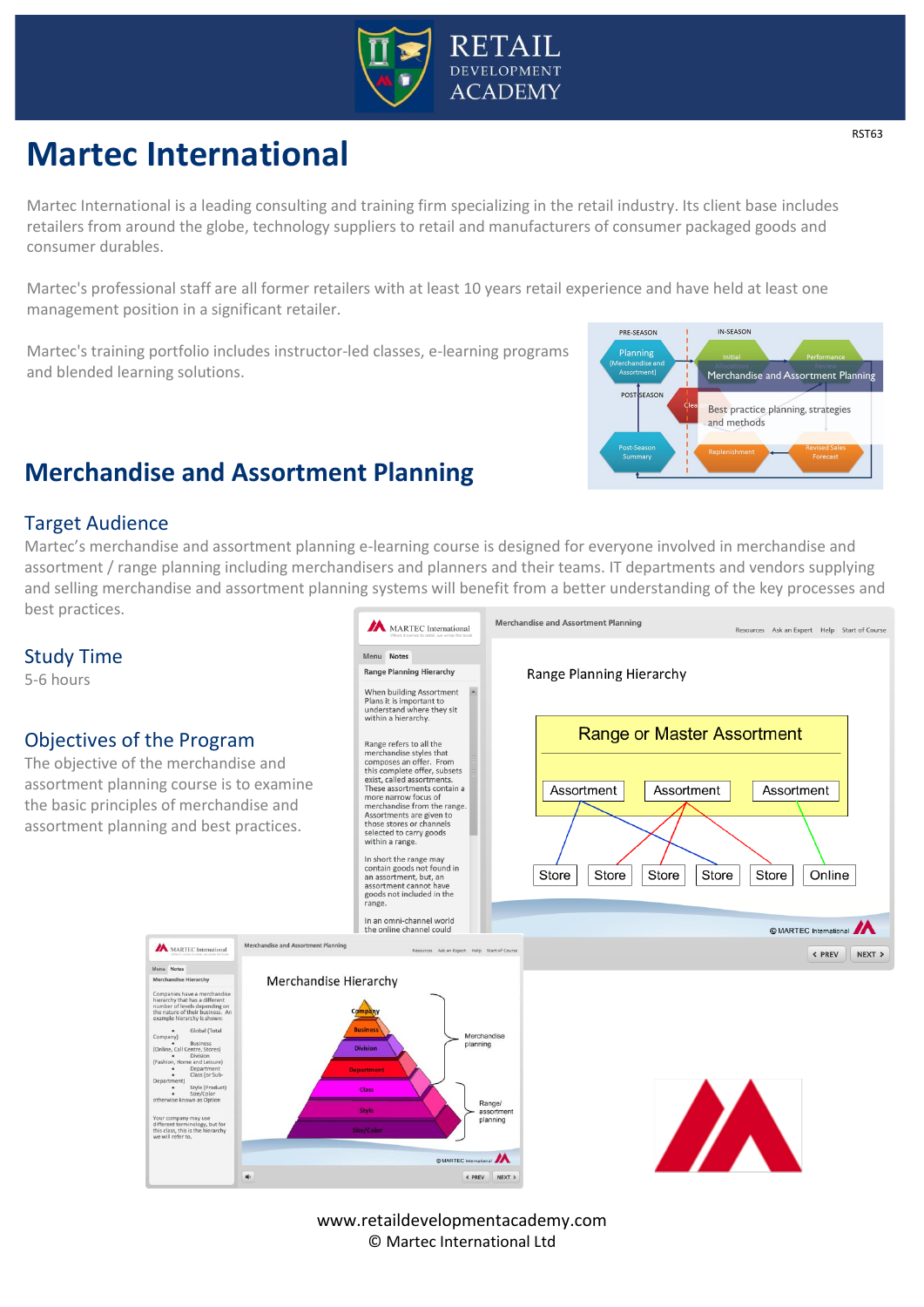

# **Martec International**

Martec International is a leading consulting and training firm specializing in the retail industry. Its client base includes retailers from around the globe, technology suppliers to retail and manufacturers of consumer packaged goods and consumer durables.

Martec's professional staff are all former retailers with at least 10 years retail experience and have held at least one management position in a significant retailer.

Martec's training portfolio includes instructor-led classes, e-learning programs and blended learning solutions.



## **Merchandise and Assortment Planning**

#### Target Audience

Martec's merchandise and assortment planning e-learning course is designed for everyone involved in merchandise and assortment / range planning including merchandisers and planners and their teams. IT departments and vendors supplying and selling merchandise and assortment planning systems will benefit from a better understanding of the key processes and best practices.



www.retaildevelopmentacademy.com © Martec International Ltd